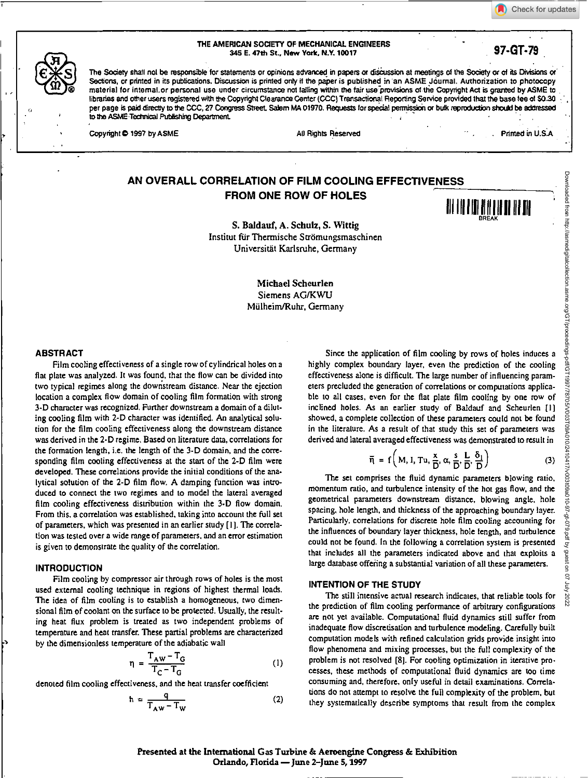**A** Check for updates

#### **THE AMERICAN SOCIETY OF MECHANICAL ENGINEERS 345 E. 47th St., New Wulf, N.Y. 10017 97-GT-79**



The Society shall not be responsible for statements or opinions advanced in papers or discussion at meetings of the Society or of its Divisions or Sections, or printed in its publications. Discussion is printed only if the paper is published in an ASME Journal. Authorization to photocopy material for internal or personal use under circumstance not falling within the fair use provisions of the Copyright Act is granted by ASME to libraries and other users registered with the Copyright Clearance Center (CCC) Transactional Reporting Service provided that the base fee of \$0.30 per page is paid directly to the CCC, 27 Congress Street, Salem MA 01970. Requests for special permission or bulk reproduction should be addressed to the ASME Technical Publishing Department

Copyright © 1997 by ASME All Rights Reserved All Rights Reserved Printed in U.S.A

# **AN OVERALL CORRELATION OF FILM COOLING EFFECTIVENESS FROM ONE ROW OF HOLES**  <sup>1111111111</sup><sup>11</sup> <sup>11</sup>1<sup>1111111111</sup>

**S. Baldauf, A. Schulz, S. Wittig**  Institut für Thermische Strömungsmaschinen Universitat Karlsruhe, Germany

> **Michael Scheurlen**  Siemens AG/KWU Mülheim/Ruhr, Germany

#### **ABSTRACT**

Film cooling effectiveness of a single row of cylindrical holes on a flat plate was analyzed. It was found, that the flow can be divided into two typical regimes along the downstream distance. Near the ejection location a complex flow domain of cooling film formation with strong 3-D character was recognized. Further downstream a domain of a diluting cooling film with 2-D character was identified. An analytical solution for the film cooling effectiveness along the downstream distance was derived in the 2-0 regime. Based on literature data, correlations for the formation length, i.e. the length of the 3-0 domain, and the corresponding film cooling effectiveness at the start of the 2-0 film were developed. These correlations provide the initial conditions of the analytical solution of the 2-0 film flow. A damping function was introduced to connect the two regimes and to model the lateral averaged film cooling effectiveness distribution within the 3-0 flow domain. From this, a correlation was established, taking into account the full set of parameters, which was presented in an earlier study [I]. The correlation was tested over a wide range of parameters, and an error estimation is given to demonstrate the quality of the correlation.

### **INTRODUCTION**

Film cooling by compressor air through rows of holes is the most used external cooling technique in regions of highest thermal loads. The idea of film cooling is to establish a homogeneous, two dimensional film of coolant on the surface to be protected. Usually, the resulting heat flux problem is treated as two independent problems of temperature and heat transfer. These partial problems are characterized by the dimensionless temperature of the adiabatic wall

$$
\eta = \frac{T_{AW} - T_G}{T_C - T_G} \tag{1}
$$

denoted film cooling effectiveness, and the heat transfer coefficient

$$
h = \frac{q}{T_{AW} - T_W} \tag{2}
$$

Since the application of film cooling by rows of holes induces a highly complex boundary layer, even the prediction of the cooling effectiveness alone is difficult. The large number of influencing parameters precluded the generation of correlations or computations applicable to all cases, even for the fiat plate film cooling by one row of inclined holes. As an earlier study of Baldauf and Scheurlen [I] showed, a complete collection of these parameters could not be found in the literature. As a result of that study this set of parameters was derived and lateral averaged effectiveness was demonstrated to result in

$$
\overline{\eta} = f\left(M, I, Tu, \frac{x}{D}, \alpha, \frac{s}{D}, \frac{L}{D}, \frac{\delta_1}{D}\right)
$$
 (3)

The set comprises the fluid dynamic parameters blowing ratio, momentum ratio, and turbulence intensity of the hot gas flow, and the geometrical parameters downstream distance, blowing angle, hole spacing, hole length, and thickness of the approaching boundary layer. Particularly, correlations for discrete hole film cooling accounting for the influences of boundary layer thickness, hole length, and turbulence could not be found. In the following a correlation system is presented that includes all the parameters indicated above and that exploits a large database offering a substantial variation of all these parameters.

# **INTENTION OF THE STUDY**

The still intensive actual research indicates, that reliable tools for the prediction of film cooling performance of arbitrary configurations are not yet available. Computational fluid dynamics still suffer from inadequate flow discretisation and turbulence modeling. Carefully built computation models with refined calculation grids provide insight into flow phenomena and mixing processes, but the full complexity of the problem is not resolved [8]. For cooling optimization in iterative processes. these methods of computational fluid dynamics are too time consuming and, therefore, only useful in detail examinations. Correlations do not attempt to resolve the full complexity of the problem, but they systematically describe symptoms that result from the complex

Downloaded from http://asmedigitalcollection.asme.org/GT/proceedings-pdf/GT1997/78705/V003T09A010/2417/v003t09a010-87-gt-079.pdf by guest on 07 Downloaded from http://asmedigitalcollection.asme.org/GT/proceedings-pdf/GT1997/78705/V003T09A010/2410417/v003t09a010-97-gt-079.pdf by guest on 07 July 20222022 Apr 2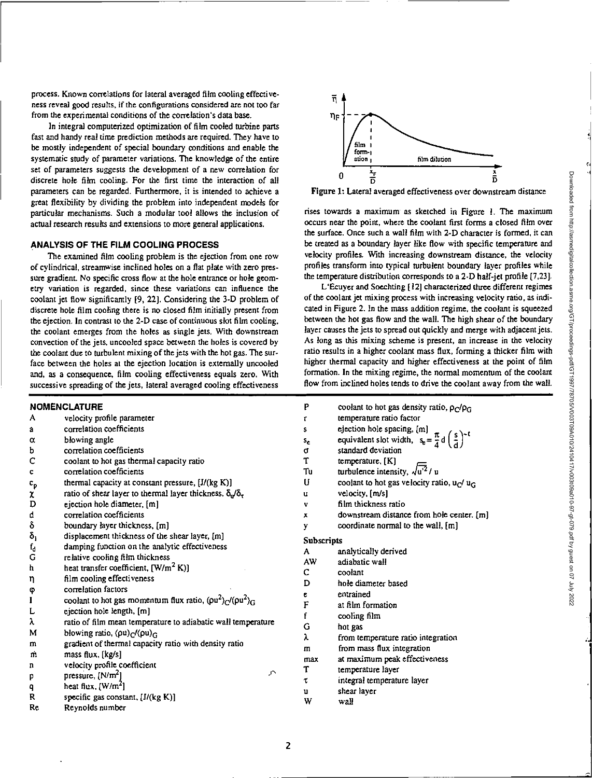process. Known correlations for lateral averaged film cooling effectiveness reveal good results, if the configurations considered are not too far from the experimental conditions of the correlation's data base.

In integral computerized optimization of film cooled turbine parts fast and handy real time prediction methods are required. They have to be mostly independent of special boundary conditions and enable the systematic study of parameter variations. The knowledge of the entire set of parameters suggests the development of a new correlation for discrete hole film cooling. For the first time the interaction of all parameters can be regarded. Furthermore, it is intended to achieve a great flexibility by dividing the problem into independent models for particular mechanisms. Such a modular tool allows the inclusion of actual research results and extensions to more general applications.

## **ANALYSIS OF THE FILM COOLING PROCESS**

The examined film cooling problem is the ejection from one row of cylindrical, streamwise inclined holes on a flat plate with zero pressure gradient. No specific cross flow at the hole entrance or hole geometry variation is regarded, since these variations can influence the coolant jet flow significantly [9, 22]. Considering the 3-D problem of discrete hole film cooling there is no closed film initially present from the ejection. In contrast to the 2-D case of continuous slot film cooling, the coolant emerges from the holes as single jets. With downstream convection of the jets. uncooled space between the holes is covered by the coolant due to turbulent mixing of the jets with the hot gas. The surface *between* the holes at the ejection location is externally uncooled and, as a consequence, film cooling effectiveness equals zero. With successive spreading of the jets, lateral avenged cooling effectiveness

# **NOMENCLATURE**

| A                             | velocity profile parameter                                                       |
|-------------------------------|----------------------------------------------------------------------------------|
| a                             | correlation coefficients                                                         |
| α                             | blowing angle                                                                    |
| b                             | correlation coefficients                                                         |
| C                             | coolant to hot gas thermal capacity ratio                                        |
| c                             | correlation coefficients                                                         |
| $\mathfrak{c}_{\mathfrak{p}}$ | thermal capacity at constant pressure, [J/(kg K)]                                |
| χ                             | ratio of shear layer to thermal layer thickness. $\delta_{\rm u}/\delta_{\rm r}$ |
| D                             | ejection hole diameter, [m]                                                      |
| d                             | correlation coefficients                                                         |
| δ                             | boundary layer thickness, [m]                                                    |
| δ,                            | displacement thickness of the shear layer, [m]                                   |
| $f_{\rm d}$                   | damping function on the analytic effectiveness                                   |
| G                             | relative cooling film thickness                                                  |
| h                             | heat transfer coefficient, $[W/m^2 K]$                                           |
| η                             | film cooling effectiveness                                                       |
| φ                             | correlation factors                                                              |
| I                             | coolant to hot gas momentum flux ratio, $(\rho u^2)_{C}/(\rho u^2)_{G}$          |
| L                             | ejection hole length, [m]                                                        |
| λ                             | ratio of film mean temperature to adiabatic wall temperature                     |
| м                             | blowing ratio, $(\rho u)_C/(\rho u)_C$                                           |
| m                             | gradient of thermal capacity ratio with density ratio                            |
| m                             | mass flux, [kg/s]                                                                |
| n                             | velocity profile coefficient                                                     |
| p                             | ↗<br>pressure, [N/m <sup>2</sup> ]                                               |
| ٩                             | heat flux, $[W/m^2]$                                                             |
| R                             | specific gas constant, [J/(kg K)]                                                |
| R۴                            | Revoolds number                                                                  |

Re Reynolds number



Figure 1: Lateral avenged effectiveness over downstream distance

rises towards a maximum as sketched in Figure I. The maximum occurs near the point, where the coolant first forms a closed film over the surface. Once such a wall film with 2-D character is formed, it can be treated as a boundary layer like flow with specific temperature and velocity profiles. With increasing downstream distance, the velocity profiles transform into typical turbulent boundary layer profiles while the temperature distribution corresponds to a 2-0 half-jet profile [7,23].

L'Ecuyer and Soechting [12] characterized three different regimes of the coolant jet mixing process with increasing velocity ratio, as indicated in Figure 2. In the mass addition regime, the coolant is squeezed between the hot gas flow and the wall. The high shear of the boundary layer causes the jets to spread out quickly and merge with adjacent jets. As long as this mixing scheme is present, an increase in the velocity ratio results in a higher coolant mass flux, forming a thicker film with higher thermal capacity and higher effectiveness at the point of film formation. In the mixing regime, the normal momentum of the coolant flow from inclined holes tends to drive the coolant away from the wall.

| P              | coolant to hot gas density ratio, $\rho_C/\rho_G$                              |
|----------------|--------------------------------------------------------------------------------|
| r              | temperature ratio factor                                                       |
| S              | ejection hole spacing, [m]                                                     |
| s <sub>e</sub> | equivalent slot width, $s_e = \frac{\pi}{4} d \left( \frac{s}{d} \right)^{-1}$ |
| σ              | standard deviation                                                             |
| т              | temperature, [K]                                                               |
| Tu             | turbulence intensity, $\sqrt{u'^2}/u$                                          |
| U              | coolant to hot gas velocity ratio, $u_C/u_G$                                   |
| u              | velocity, [m/s]                                                                |
| v              | film thickness ratio                                                           |
| x              | downstream distance from hole center. [m]                                      |
| y              | coordinate normal to the wall, [m]                                             |
| Subscripts     |                                                                                |
| A              | analytically derived                                                           |
| AW             | adiabatic wall                                                                 |
| C.             | coolant                                                                        |
| D              | hole diameter based                                                            |
| e.             | entrained                                                                      |
| F              | at film formation                                                              |
| f              | cooling film                                                                   |
| G              | hot gas                                                                        |
| λ              | from temperature ratio integration                                             |
| m              | from mass flux integration                                                     |
| max            | at maximum peak effectiveness                                                  |
| Т              | temperature layer                                                              |
| τ              | integral temperature layer                                                     |
| IJ.            | shear layer                                                                    |
| w              | wall                                                                           |
|                |                                                                                |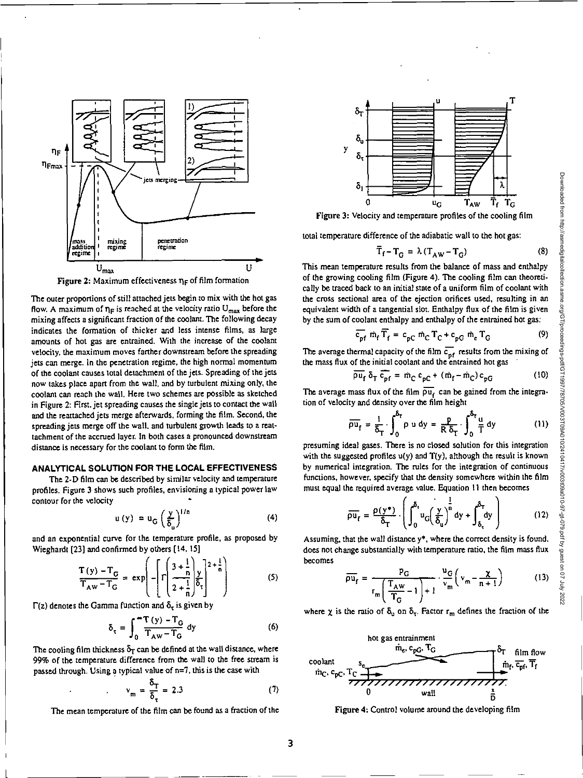



The outer proportions of still attached jets begin to mix with the hot gas flow. A maximum of  $\eta_F$  is reached at the velocity ratio  $U_{\text{max}}$  before the mixing affects a significant fraction of the coolant. The following decay indicates the formation of thicker and less intense films, as large amounts of hot gas are entrained. With the increase of the coolant velocity, the maximum moves farther downstream before the spreading jets can merge. In the penetration regime, the high normal momentum of the coolant causes total detachment of the jets. Spreading of the jets now takes place apart from the wall, and by turbulent mixing only, the coolant can reach the wall. Here two schemes are possible as sketched in Figure 2: First. jet spreading causes the single jets to contact the wall and the reattached jets merge afterwards, forming the film. Second, the spreading jets merge off the wall, and turbulent growth leads to a reattachment of the accrued layer. In both cases a pronounced downstream distance is necessary for the coolant to form the film.

## **ANALYTICAL SOLUTION FOR THE LOCAL EFFECTIVENESS**

The 2-D film can be described by similar velocity and temperature profiles. Figure 3 shows such profiles, envisioning a typical power law contour for the velocity

$$
u(y) = u_G \left(\frac{y}{\delta_0}\right)^{1/n} \tag{4}
$$

and an exponential curve for the temperature profile, as proposed by Wieghardt [23] and confirmed by others [14, 15]

$$
\frac{T(y) - T_G}{T_{AW} - T_G} = \exp\left(-\left[\Gamma\left(\frac{3 + \frac{1}{n}}{2 + \frac{1}{n}}\right)\frac{y}{\delta_{\tau}}\right]^{2 + \frac{1}{n}}\right) \tag{5}
$$

 $\Gamma(z)$  denotes the Gamma function and  $\delta_z$  is given by

$$
\delta_{\tau} = \int_0^{\infty} \frac{T(y) - T_G}{T_{AW} - T_G} dy
$$
 (6)

The cooling film thickness  $\delta_T$  can be defined at the wall distance, where 99% of the temperature difference from the wall to the free stream is passed through. Using a typical value of n=7, this is the case with

$$
m = \frac{\delta_T}{\delta_t} = 2.3 \tag{7}
$$

The mean temperature of the film can be found as a fraction of the



Figure 3: Velocity and temperature profiles of the cooling film

total temperature difference of the adiabatic wall to the hot gas:

Hence of the adiabatic wall to the hot gas:  
\n
$$
\overline{T}_f - T_G = \lambda (T_{AW} - T_G)
$$
\n(8)

This mean temperature results from the balance of mass and enthalpy of the growing cooling film (Figure 4). The cooling film can theoretically be traced back to an initial state of a uniform film of coolant with the cross sectional area of the ejection orifices used, resulting in an equivalent width of a tangential slot. Enthalpy flux of the film is given by the sum of coolant enthalpy and enthalpy of the entrained hot gas:

$$
\overline{c}_{pf} \dot{m}_f \overline{T}_f = c_{pC} \dot{m}_C T_C + c_{pG} \dot{m}_e T_G \tag{9}
$$

The average thermal capacity of the film  $\overline{c_{\text{nf}}}$  results from the mixing of the mass flux of the initial coolant and the entrained hot gas<br>  $\overline{p u_f} \delta_T \overline{c_{pf}} = m_C c_{pC} + (m_f - m_C) c_{pG}$  (10)

$$
\overline{\mathsf{ou}}_{\mathsf{f}} \, \delta_{\mathsf{T}} \, \overline{\mathsf{c}}_{\mathsf{p}\mathsf{f}} = \mathsf{m}_{\mathsf{C}} \, \mathsf{c}_{\mathsf{p}\mathsf{C}} + (\mathsf{m}_{\mathsf{f}} - \mathsf{m}_{\mathsf{C}}) \, \mathsf{c}_{\mathsf{p}\mathsf{G}} \tag{10}
$$

The average mass flux of the film  $\overline{\rho u_{t}}$  can be gained from the integration of velocity and density over the film height

$$
\overline{\rho u}_f = \frac{1}{\delta_T} \int_0^{\delta_T} \rho u \, dy = \frac{p}{R \delta_T} \int_0^{\delta_T} \frac{u}{T} \, dy \tag{11}
$$

presuming ideal gases. There is no closed solution for this integration with the suggested profiles  $u(y)$  and  $T(y)$ , although the result is known by numerical integration. The rules for the integration of continuous functions, however, specify that the density somewhere within the film must equal the required average value. Equation II then becomes

$$
\overline{\rho u}_f = \frac{\rho(y^*)}{\delta_T} \cdot \left( \int_0^{\delta_t} u_G \left( \frac{y}{\delta_u} \right)^{\frac{1}{n}} dy + \int_{\delta_t}^{\delta_T} dy \right)
$$
(12)

Assuming, that the wall distance  $y^*$ , where the correct density is found, does not change substantially with temperature ratio, the film mass flux becomes

$$
\overline{\rho u_f} = \frac{p_G}{r_m \left(\frac{T_{AW}}{T_G} - 1\right) + 1} \cdot \frac{u_G}{v_m} \left(v_m - \frac{\chi}{n+1}\right) \tag{13}
$$

where  $\chi$  is the ratio of  $\delta_u$  on  $\delta_{\tau}$ . Factor  $r_m$  defines the fraction of the



Figure 4: Control volume around the developing film

3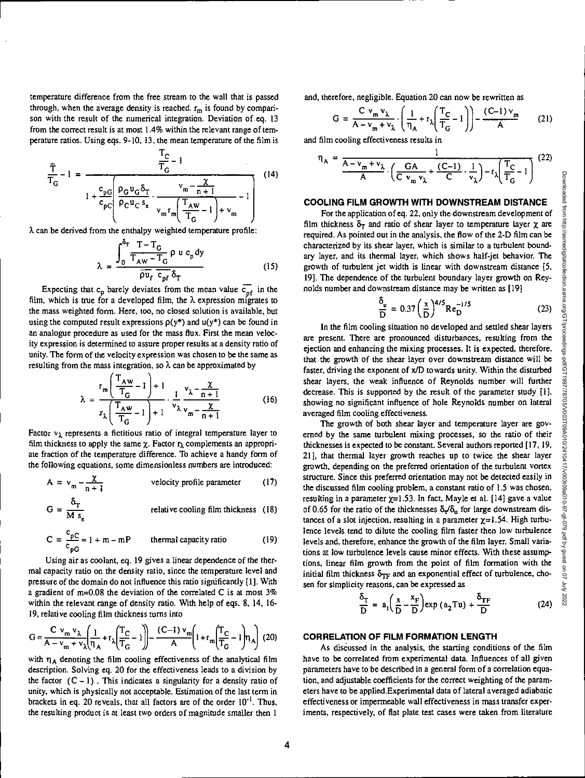temperature difference from the free stream to the wall that is passed through, when the average density is reached.  $r_m$  is found by comparison with the result of the numerical integration. Deviation of eq. 13 from the correct result is at most 1.4% within the relevant range of temperature ratios. Using eqs. 9-10, 13, the mean temperature of the film is

$$
\frac{\bar{T}_{C}}{T_{G}} - 1 = \frac{\bar{T}_{C}}{T_{G}} - 1
$$
\n
$$
1 + \frac{c_{pG}}{c_{pC}} \left( \frac{\rho_{C} u_{C} \delta_{T}}{\rho_{C} u_{C} s_{\epsilon}} \cdot \frac{v_{m} - \frac{\chi}{n+1}}{v_{m} r_{m} \left( \frac{T_{AW}}{T_{G}} - 1 \right) + v_{m}} - 1 \right)
$$
\n(14)

 $\lambda$  can be derived from the enthalpy weighted temperature profile:

$$
\lambda = \frac{\int_0^{\sigma_{\rm T}} \frac{T - T_{\rm G}}{T_{\rm AW} - T_{\rm G}} \rho \, u \, c_{\rm p} \, dy}{\overline{\rho u_{\rm f}} \, \overline{c_{\rm pf}} \, \delta_{\rm T}} \tag{15}
$$

Expecting that  $c_0$  barely deviates from the mean value  $\overline{c_{\text{nf}}}$  in the film, which is true for a developed film, the  $\lambda$  expression migrates to the mass weighted form. Here, too, no closed solution is available, but using the computed result expressions  $p(y^*)$  and  $u(y^*)$  can be found in an analogue procedure as used for the mass flux. First the mean velocity expression is determined to assure proper results at a density ratio of unity. The form of the velocity expression was chosen to be the same as resulting from the mass integration, so  $\lambda$  can be approximated by

$$
\lambda = \frac{\Gamma_m \left( \frac{T_{AW}}{T_G} - 1 \right) + 1}{\Gamma_\lambda \left( \frac{T_{AW}}{T_G} - 1 \right) + 1} \cdot \frac{1}{v_\lambda} \frac{v_\lambda - \frac{\chi}{n+1}}{v_m - \frac{\chi}{n+1}}
$$
(16)

Factor  $v_{\lambda}$  represents a fictitious ratio of integral temperature layer to film thickness to apply the same  $\chi$ . Factor  $r_{\lambda}$  complements an appropriate fraction of the temperature difference. To achieve a handy form of the following equations, some dimensionless numbers are introduced:

$$
A = v_m - \frac{\chi}{n+1}
$$
 velocity profile parameter (17)

$$
G = \frac{\delta_T}{M s_e}
$$
 relative cooling film thickness (18)

$$
C = \frac{c_{pC}}{c_{pG}} \approx 1 + m + mP
$$
 thermal capacity ratio (19)

Using air as coolant, eq. 19 gives a linear dependence of the thermal capacity ratio on the density ratio, since the temperature level and pressure of the domain do not influence this ratio significantly [1]. With a gradient of m=0.08 the deviation of the correlated C is at most 3% within the relevant range of density ratio. With help of eqs. 8, 14, 16- 19, relative cooling film thickness turns into

$$
G = \frac{C v_m v_{\lambda}}{A - v_m + v_{\lambda}} \left( \frac{1}{\eta_A} + r_{\lambda} \left( \frac{T_C}{T_G} - 1 \right) \right) - \frac{(C - 1) v_m}{A} \left( 1 + r_m \left( \frac{T_C}{T_G} - 1 \right) \eta_A \right) (20)
$$

with  $n_A$  denoting the film cooling effectiveness of the analytical film description. Solving eq. 20 for the effectiveness leads to a division by the factor  $(C - 1)$ . This indicates a singularity for a density ratio of unity, which is physically not acceptable. Estimation of the last term in brackets in eq. 20 reveals, that all factors are of the order  $10^{-1}$ . Thus, the resulting product is at least two orders of magnitude smaller then 1

and, therefore, negligible. Equation 20 can now be rewritten as

$$
G = \frac{C v_m v_\lambda}{A - v_m + v_\lambda} \cdot \left(\frac{1}{\eta_A} + r_\lambda \left(\frac{T_C}{T_G} - 1\right)\right) - \frac{(C-1) v_m}{A} \tag{21}
$$

and film cooling effectiveness results in

$$
\eta_{A} = \frac{1}{\frac{A - v_{m} + v_{\lambda}}{A} \cdot \left(\frac{GA}{C v_{m} v_{\lambda}} + \frac{(C - 1)}{C} \cdot \frac{1}{v_{\lambda}}\right) - r_{\lambda} \left(\frac{T_{C}}{T_{G}} - 1\right)}
$$
(22)

## **COOLING FILM GROWTH WITH DOWNSTREAM DISTANCE**

For the application of eq. 22, only the downstream development of film thickness  $\delta_T$  and ratio of shear layer to temperature layer  $\chi$  are required. As pointed out in the analysis, the flow of the 2-D film can be characterized by its shear layer, which is similar to a turbulent boundary layer, and its thermal layer, which shows half-jet behavior. The growth of turbulent jet width is linear with downstream distance [5, 19]. The dependence of the turbulent boundary layer growth on Reynolds number and downstream distance may be written as [19]

$$
\frac{\delta_{\rm u}}{\rm D} = 0.37 \left(\frac{\rm x}{\rm D}\right)^{4/5} \rm Re_D^{-1/5} \tag{23}
$$

In the film cooling situation no developed and settled shear layers are present. There are pronounced disturbances, resulting from the ejection and enhancing the mixing processes. It is expected, therefore, that the growth of the shear layer over downstream distance will be faster, driving the exponent of x/D towards unity. Within the disturbed shear layers, the weak influence of Reynolds number will further decrease. This is supported by the result of the parameter study [I], showing no significant influence of hole Reynolds number on lateral averaged film cooling effectiveness.

The growth of both shear layer and temperature layer are governed by the same turbulent mixing processes, so the ratio of their thicknesses is expected to be constant. Several authors reported [17, 19, 21], that thermal layer growth reaches up to twice the shear layer growth, depending on the preferred orientation of the turbulent vortex structure. Since this preferred orientation may not be detected easily in the discussed film cooling problem, a constant ratio of 1.5 was chosen, resulting in a parameter  $\chi=1.53$ . In fact, Mayle et al. [14] gave a value of 0.65 for the ratio of the thicknesses  $\delta_r/\delta_u$  for large downstream distances of a slot injection, resulting in a parameter  $\chi=1.54$ . High turbulence levels tend to dilute the cooling film faster then low turbulence levels and, therefore, enhance the growth of the film layer. Small variations at low turbulence levels cause minor effects. With these assumptions, linear film growth from the point of film formation with the initial film thickness  $\delta_{\text{TF}}$  and an exponential effect of turbulence, chosen for simplicity reasons, can be expressed as

$$
\frac{\delta_{\rm T}}{\rm D} = a_{1} \left( \frac{\rm x}{\rm D} - \frac{\rm x_{F}}{\rm D} \right) \exp \left( a_{2} \mathrm{T} \mathbf{u} \right) + \frac{\delta_{\rm TF}}{\rm D}
$$
 (24)

#### **CORRELATION OF FILM FORMATION LENGTH**

As discussed in the analysis, the starting conditions of the film have to be correlated from experimental data. Influences of all given parameters have to be described in a general form of a correlation equation, and adjustable coefficients for the correct weighting of the parameters have to be applied.Experimental data of lateral averaged adiabatic effectiveness or impermeable wall effectiveness in mass transfer experiments, respectively, of flat plate test cases were taken from literature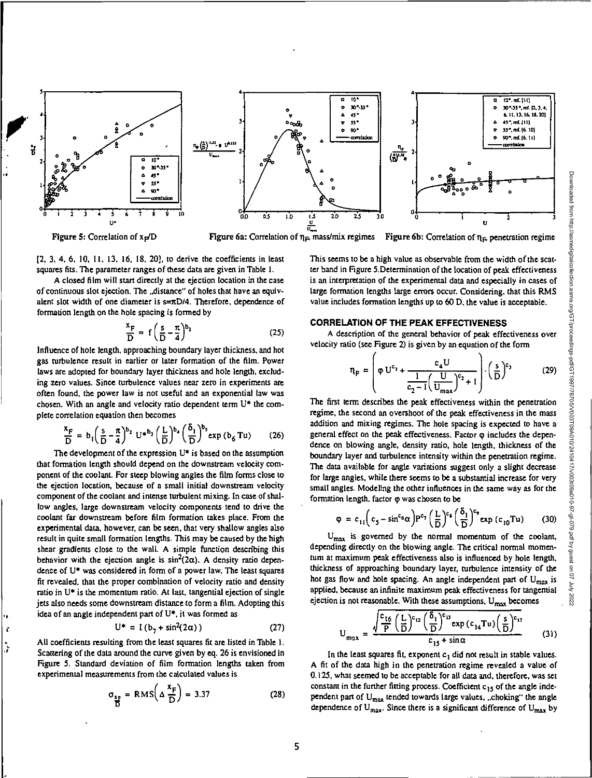



 $\overline{10}$  $\bullet$ 

 $20 - 35$  $\bullet$ 

Figure 5: Correlation of  $x_p/D$ 

[2, 3, 4, 6, 10, II, 13. 16, 18, 20], to derive the coefficients in least squares fits. The parameter ranges of these data are given in Table I.

A closed film will start directly at the ejection location in the case of continuous slot ejection. The "distance" of holes that have an equivalent slot width of one diameter is  $s=\pi D/4$ . Therefore, dependence of formation length on the hole spacing is formed by

$$
\frac{x_F}{D} = f\left(\frac{s}{D} - \frac{\pi}{4}\right)^{b_2} \tag{25}
$$

Influence of hole length, approaching boundary layer thickness, and hot gas turbulence result in earlier or later formation of the film. Power laws are adopted for boundary layer thickness and hole length, excluding zero values. Since turbulence values near zero in experiments are often found, the power law is not useful and an exponential law was chosen. With an angle and velocity ratio dependent term U\* the complete correlation equation then becomes

$$
\frac{x_F}{D} = b_1 \left( \frac{s}{D} - \frac{\pi}{4} \right)^{b_2} U^{\ast b_3} \left( \frac{L}{D} \right)^{b_4} \left( \frac{\delta_1}{D} \right)^{b_5} \exp(b_6 \, \text{Tu}) \tag{26}
$$

The development of the expression U\* is based on the assumption that formation length should depend on the downstream velocity component of the coolant. For steep blowing angles the film forms close to the ejection location, because of a small initial downstream velocity component of the coolant and intense turbulent mixing. In case of shallow angles, large downstream velocity components tend to drive the coolant far downstream before film formation takes place. From the experimental data, however, can be seen, that very shallow angles also result in quite small formation lengths. This may be caused by the high shear gradients close to the wall. A simple function describing this behavior with the ejection angle is  $sin^2(2\alpha)$ . A density ratio dependence of  $U^*$  was considered in form of a power law. The least squares fit revealed, that the proper combination of velocity ratio and density ratio in  $U^*$  is the momentum ratio. At last, tangential ejection of single jets also needs some downstream distance to form a film. Adopting this idea of an angle independent part of U\*, it was formed as

$$
U^* = I(b_7 + \sin^2(2\alpha))
$$
 (27)

All coefficients resulting from the least squares fit are listed in Table 1. Scattering of the data around the curve given by eq. 26 is envisioned in Figure 5. Standard deviation of film formation lengths taken from experimental measurements from the calculated values is

ć Ĵ.

$$
\sigma_{\frac{x}{D}} = \text{RMS}\left(\Delta \frac{x_F}{D}\right) = 3.37\tag{28}
$$

d

ò

10°, nd, 1111

45°, rd. (11)

55°, rd. (6, 10)

90°, rd. (6, 11)

30°-35°, mf. f2, 3, 4

6, 11, 13, 16, 18, 20)

This seems to be a high value as observable from the width of the scatter band in Figure 5.Determination of the location of peak effectiveness is an interpretation of the experimental data and especially in cases of large formation lengths large errors occur. Considering, that this RMS value includes formation lengths up to 60 D. the value is acceptable.

# CORRELATION OF THE PEAK EFFECTIVENESS

A description of the general behavior of peak effectiveness over velocity ratio (see Figure 2) is given by an equation of the form

$$
\eta_{\rm F} = \left( \varphi \, U^{c_1} + \frac{c_4 U}{\frac{1}{c_2 - 1} \left( \frac{U}{U_{\rm max}} \right)^{c_2} + 1} \right) \cdot \left( \frac{s}{D} \right)^{c_1} \tag{29}
$$

The first term describes the peak effectiveness within the penetration regime, the second an overshoot of the peak effectiveness in the mass addition and mixing regimes. The hole spacing is expected to have a general effect on the peak effectiveness. Factor  $\varphi$  includes the dependence on blowing angle, density ratio, hole length, thickness of the boundary layer and turbulence intensity within the penetration regime. The data available for angle variations suggest only a slight decrease for large angles, while there seems to be a substantial increase for very small angles. Modeling the other influences in the same way as for the formation length, factor  $\varphi$  was chosen to be

$$
\varphi = c_{11}\left(c_5 - \sin^{c_6}\alpha\right)P^{c_7}\left(\frac{L}{D}\right)^{c_8}\left(\frac{\delta_1}{D}\right)^{c_9}\exp\left(c_{10}Tu\right) \tag{30}
$$

 $U_{\text{max}}$  is governed by the normal momentum of the coolant, depending directly on the blowing angle. The critical normal momentum at maximum peak effectiveness also is influenced by hole length, thickness of approaching boundary la yer, turbulence intensity of the hot gas flow and hole spacing. An angle independent part of  $U_{\text{max}}$  is applied, because an infinite maximum peak effectiveness for tangential ejection is not reasonable. With these assumptions,  $U_{max}$  becomes

$$
U_{\text{max}} = \frac{\sqrt{\frac{c_{16}}{P} \left(\frac{L}{D}\right)^{c_{12}} \left(\frac{\delta_1}{D}\right)^{c_{13}} \exp\left(c_{14} \text{Tu}\right) \left(\frac{s}{D}\right)^{c_{17}}}}{c_{15} + \sin \alpha} \tag{31}
$$

In the least squares fit, exponent  $c_1$  did not result in stable values. A fit of the data high in the penetration regime revealed a value of 0.125, what seemed to be acceptable for all data and, therefore, was set constant in the further fitting process. Coefficient c **<sup>15</sup>**of the angle independent part of  $U_{\text{max}}$  tended towards large values, , choking" the angle dependence of  $U_{\text{max}}$ . Since there is a significant difference of  $U_{\text{max}}$  by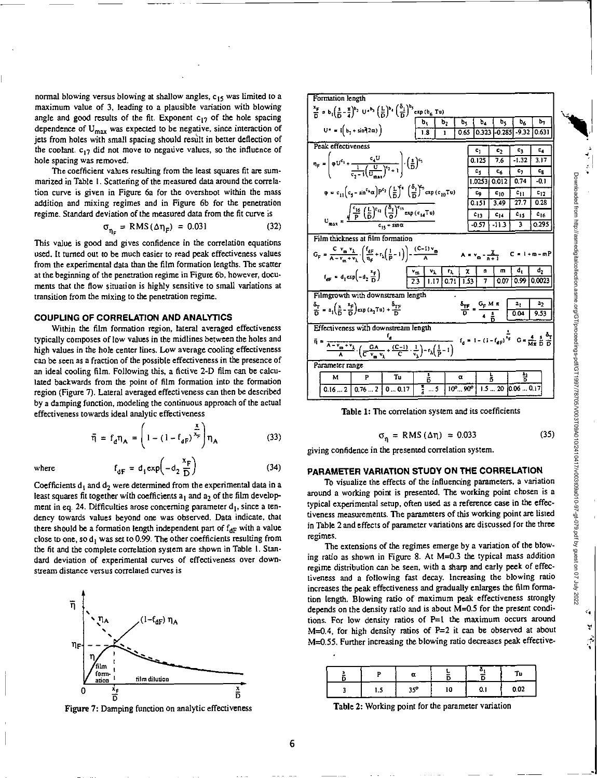normal blowing versus blowing at shallow angles,  $c_{15}$  was limited to a maximum value of 3, leading to a plausible variation with blowing angle and good results of the fit. Exponent  $c_{17}$  of the hole spacing dependence of  $U_{\text{max}}$  was expected to be negative, since interaction of jets from holes with small spacing should result in better deflection of the coolant.  $c_{17}$  did not move to negative values, so the influence of hole spacing was removed.

The coefficient values resulting from the least squares fit are summarized in Table I. Scattering of the measured data around the correlation curve is given in Figure 6a for the overshoot within the mass addition and mixing regimes and in Figure 6b for the penetration regime. Standard deviation of the measured data from the fit curve is

$$
\sigma_{\eta_F} = \text{RMS}(\Delta \eta_F) = 0.031\tag{32}
$$

This value is good and gives confidence in the correlation equations used. It turned out to be much easier to read peak effectiveness values from the experimental data than the film formation lengths. The scatter at the beginning of the penetration regime in Figure 6b, however, documents that the flow situation is highly sensitive to small variations at transition from the mixing to the penetration regime.

# **COUPLING OF CORRELATION AND ANALYTICS**

Within the film formation region, lateral averaged effectiveness typically composes of low values in the midlines between the holes and high values in the hole center lines. Low average cooling effectiveness can be seen as a fraction of the possible effectiveness in the presence of an ideal cooling film. Following this, a fictive 2-D film can be calculated backwards from the point of film formation into the formation region (Figure 7). Lateral averaged effectiveness can then be described by a damping function, modeling the continuous approach of the actual effectiveness towards ideal analytic effectiveness

$$
\overline{\eta} = f_d \eta_A = \left(1 - (1 - f_{dF})^{\frac{x}{\lambda_F}}\right) \eta_A \tag{33}
$$

$$
\overline{\eta} = f_d \eta_A = \left(1 - (1 - f_{dF})^2\right) \eta_A \tag{33}
$$
\n
$$
f_{dF} = d_1 \exp\left(-d_2 \frac{x_F}{D}\right) \tag{34}
$$

Coefficients  $d_1$  and  $d_2$  were determined from the experimental data in a least squares fit together with coefficients  $a_1$  and  $a_2$  of the film development in eq. 24. Difficulties arose concerning parameter  $d_1$ , since a tendency towards values beyond one was observed. Data indicate, that there should be a formation length independent part of  $f_{\rm dF}$  with a value close to one, so  $d_1$  was set to 0.99. The other coefficients resulting from the fit and the complete correlation system are shown in Table I. Standard deviation of experimental curves of effectiveness over downstream distance versus correlated curves is





| Formation length                                                                                                                                                                                                                                                                                                    |                                           |    |      |                                                              |                                                 |                         |                               |  |
|---------------------------------------------------------------------------------------------------------------------------------------------------------------------------------------------------------------------------------------------------------------------------------------------------------------------|-------------------------------------------|----|------|--------------------------------------------------------------|-------------------------------------------------|-------------------------|-------------------------------|--|
| $\frac{x_F}{D} = b_1 \left( \frac{1}{D} - \frac{x}{4} \right)^{b_2} U^{\frac{b_1}{2}} \left( \frac{L}{D} \right)^{b_1} \left( \frac{\delta_1}{D} \right)^{b_2} \exp(b_6 \text{ Tu})$                                                                                                                                |                                           |    |      |                                                              |                                                 |                         |                               |  |
|                                                                                                                                                                                                                                                                                                                     | ь,                                        | ь, | b,   | b,                                                           | ь,                                              | b <sub>6</sub>          | ь,                            |  |
| $U = i [b_1 + sin(2\alpha)]$                                                                                                                                                                                                                                                                                        | 1.8                                       | 1  | 0.65 | 0.3231                                                       | $-0.285$                                        | $-9.32$                 | 0.631                         |  |
| Peak effectiveness                                                                                                                                                                                                                                                                                                  |                                           |    |      | c,                                                           | c,                                              | c3                      | $c_{4}$                       |  |
|                                                                                                                                                                                                                                                                                                                     |                                           |    |      | 0.125                                                        | 7.6                                             | $-1.32$                 | 3.17                          |  |
| $\eta_F = \left[ \phi U^{c_1} + \frac{c_4 U}{\frac{1}{c_4 - 1} (\frac{U}{U})^{c_2} + 1} \right] \cdot \left(\frac{1}{D}\right)^{c_3}$                                                                                                                                                                               |                                           |    |      | c,                                                           | ¢.                                              | c,                      | $c_{\rm R}$                   |  |
|                                                                                                                                                                                                                                                                                                                     |                                           |    |      | 1.02531                                                      | 0.012                                           | 0.74                    | $-0.1$                        |  |
| $\varphi = c_{11} \left( c_3 - \sin^2 4 \alpha \right) P^{c_2} \left( \frac{L}{D} \right)^{c_4} \left( \frac{\delta_1}{D} \right)^{c_2} \exp{(c_{10} T u)}$                                                                                                                                                         |                                           |    |      | Co.                                                          | $c_{10}$                                        | $c_{11}$                | $c_{12}$                      |  |
|                                                                                                                                                                                                                                                                                                                     |                                           |    |      | 0.151                                                        | 3.49                                            | 27.7                    | 0.28                          |  |
| $U_{max} = \frac{\sqrt{\frac{c_{16}}{P} (\frac{L}{D})^{c_{12}} (\frac{\delta_1}{O})^{c_{13}} \exp{(c_{14}Tu)}}}{c_{14} + \sin{\alpha}}$                                                                                                                                                                             |                                           |    |      | $c_{13}$                                                     | $c_{14}$                                        | $c_{15}$                | $c_{16}$                      |  |
|                                                                                                                                                                                                                                                                                                                     |                                           |    |      | -0.57                                                        | -11.3                                           | $\overline{\mathbf{3}}$ | 0.295                         |  |
| Film thickness at film formation                                                                                                                                                                                                                                                                                    |                                           |    |      |                                                              |                                                 |                         |                               |  |
| $G_F = \frac{C V_m V_{\lambda}}{A - V + V_{\lambda}} \cdot \left( \frac{f_{\text{d}}}{n_{\text{d}}} + r_{\lambda} \left( \frac{1}{P} - 1 \right) \right) - \frac{(C-1)V_m}{A}$<br>$A = v_m - \frac{\chi}{n+1}$ $C = 1 + m - mP$                                                                                     |                                           |    |      |                                                              |                                                 |                         |                               |  |
| $f_{\text{AF}} = d_1 \exp(-d_2 \frac{x_{\text{F}}}{D})$                                                                                                                                                                                                                                                             | $\frac{v_{\text{m}}}{2.3}$ 1.17 0.71 1.53 |    |      | O<br>$\overline{ }$                                          | m<br>$\overline{0}$ <sub>0</sub> $\overline{0}$ | d,                      | d <sub>7</sub><br>0.99 0.0023 |  |
| Filmgrowth with downstream length                                                                                                                                                                                                                                                                                   |                                           |    |      |                                                              |                                                 |                         |                               |  |
| $\frac{a_{\text{TF}}}{D} = \frac{G_{\text{F}} M \pi}{4 \frac{5}{\pi}}$ $\frac{a_1}{0.04}$<br>22<br>$\frac{5}{12} = \frac{1}{4} \left( \frac{x}{12} - \frac{x}{12} \right) \exp (a_2 \pi u) + \frac{9 \pi x}{12}$<br>9.53                                                                                            |                                           |    |      |                                                              |                                                 |                         |                               |  |
| Effectiveness with downstream length                                                                                                                                                                                                                                                                                |                                           |    |      |                                                              |                                                 |                         |                               |  |
| $f_d = 1 - (1 - f_{dF})^{\frac{1}{\lambda_F}}$ $G = \frac{4}{\lambda \lambda} \frac{5}{\lambda} \frac{\delta_T}{\delta}$<br>$\bar{\eta} = \frac{1}{\Delta - v_m + v_{\lambda}} \cdot \left( \frac{G\Delta}{C - v_m v_1} + \frac{(C-1)}{C} \cdot \frac{1}{v_1} \right) - r_{\lambda} \left( \frac{1}{P} - 1 \right)$ |                                           |    |      |                                                              |                                                 |                         |                               |  |
|                                                                                                                                                                                                                                                                                                                     | Parameter range                           |    |      |                                                              |                                                 |                         |                               |  |
|                                                                                                                                                                                                                                                                                                                     |                                           |    |      |                                                              |                                                 |                         |                               |  |
| Tu<br>м<br>P                                                                                                                                                                                                                                                                                                        | គំ<br>$\frac{\pi}{4}$<br>$\ldots$ 5       |    | α    | $10^{\circ}$ $90^{\circ}$ 1.5 $\ldots$ 20 0.06 $\ldots$ 0.17 | 늚                                               | 흼                       |                               |  |



$$
\sigma_{\eta} = \text{RMS} \left( \Delta \eta \right) = 0.033 \tag{35}
$$

giving confidence in the presented correlation system.

## **PARAMETER VARIATION STUDY ON THE CORRELATION**

To visualize the effects of the influencing parameters, a variation around a working point is presented. The working point chosen is a typical experimental setup, often used as a reference case in the effectiveness measurements. The parameters of this working point are listed in Table 2 and effects of parameter variations are discussed for the three regimes.

The extensions of the regimes emerge by a variation of the blowing ratio as shown in Figure 8. At M=0.3 the typical mass addition regime distribution can be seen, with a sharp and early peek of effectiveness and a following fast decay. Increasing the blowing ratio increases the peak effectiveness and gradually enlarges the film formation length. Blowing ratio of maximum peak effectiveness strongly depends on the density ratio and is about M=0.5 for the present conditions. For low density ratios of **P=1** the maximum occurs around  $M=0.4$ , for high density ratios of  $P=2$  it can be observed at about M=0.55. Further increasing the blowing ratio decreases peak effective-

|     |     |    |     | ገኮ   |
|-----|-----|----|-----|------|
| כ.ו | 250 | 10 | 0.1 | 0.02 |

Table 2: Working point for the parameter variation

**C.** 

Y ਼ੇ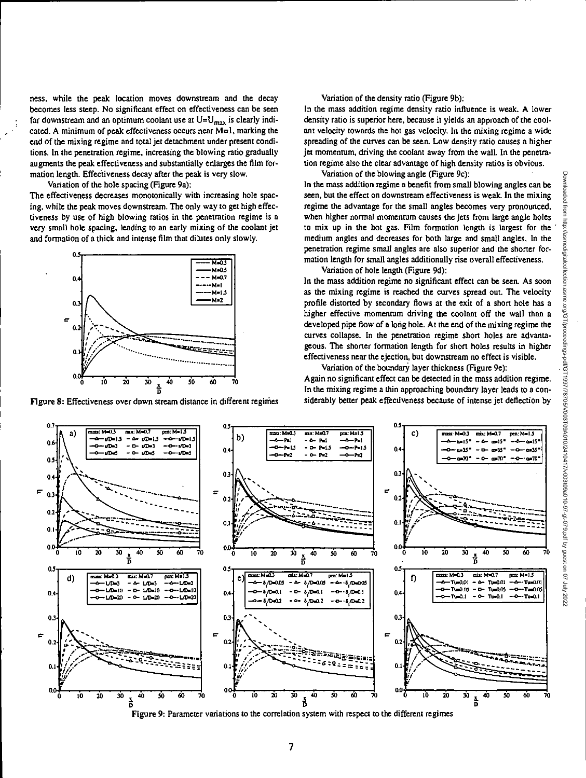ness, while the peak location moves downstream and the decay becomes less steep. No significant effect on effectiveness can be seen far downstream and an optimum coolant use at  $U=U_{max}$  is clearly indicated. A minimum of peak effectiveness occurs near M=1, marking the end of the mixing regime and total jet detachment under present conditions. In the penetration regime, increasing the blowing ratio gradually augments the peak effectiveness and substantially enlarges the film formation length. Effectiveness decay after the peak is very slow.

Variation of the hole spacing (Figure 9a):

The effectiveness decreases monotonically with increasing hole spacing, while the peak moves downstream. The only way to get high effectiveness by use of high blowing ratios in the penetration regime is a very small hole spacing, leading to an early mixing of the coolant jet and formation of a thick and intense film that dilutes only slowly.



Figure 8: Effectiveness over down stream distance in different regimes

Variation of the density ratio (Figure 9b):

In the mass addition regime density ratio influence is weak. A lower density ratio is superior here, because it yields an approach of the coolant velocity towards the hot gas velocity. In the mixing regime a wide spreading of the curves can be seen. Low density ratio causes a higher jet momentum, driving the coolant away from the wall. In the penetration regime also the clear advantage of high density ratios is obvious.

Variation of the blowing angle (Figure 9c): In the mass addition regime a benefit from small blowing angles can be seen, but the effect on downstream effectiveness is weak. In the mixing regime the advantage for the small angles becomes very pronounced, when higher normal momentum causes the jets from large angle holes to mix up in the hot gas. Film formation length is largest for the • medium angles and decreases for both large and small angles. In the penetration regime small angles are also superior and the shorter formation length for small angles additionally rise overall effectiveness.

Variation of hole length (Figure 9d):

In the mass addition regime no significant effect can be seen. As soon as the mixing regime is reached the curves spread out. The velocity profile distorted by secondary flows at the exit of a short hole has a higher effective momentum driving the coolant off the wall than a developed pipe flow of a long hole. At the end of the mixing regime the curves collapse. In the penetration regime short holes are advantageous. The shorter formation length for short holes results in higher effectiveness near the ejection, but downstream no effect is visible.

Variation of the boundary layer thickness (Figure 9e):

Again no significant effect can be detected in the mass addition regime. In the mixing regime a thin approaching boundary layer leads to a considerably better peak effectiveness because of intense jet deflection by



Figure 9: Parameter variations to the correlation system with respect o the different regimes